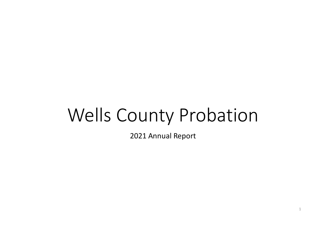# Wells County Probation

2021 Annual Report

1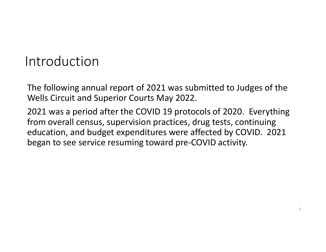#### Introduction

The following annual report of 2021 was submitted to Judges of the Wells Circuit and Superior Courts May 2022.

2021 was a period after the COVID 19 protocols of 2020. Everything from overall census, supervision practices, drug tests, continuing education, and budget expenditures were affected by COVID. 2021 began to see service resuming toward pre-COVID activity.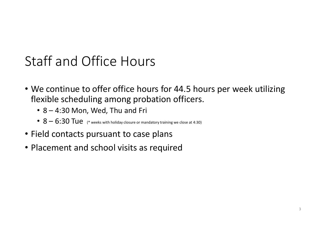#### Staff and Office Hours

- We continue to offer office hours for 44.5 hours per week utilizing flexible scheduling among probation officers.
	- 8 4:30 Mon, Wed, Thu and Fri
	- $8 6:30$  Tue (\* weeks with holiday closure or mandatory training we close at 4:30)
- Field contacts pursuant to case plans
- Placement and school visits as required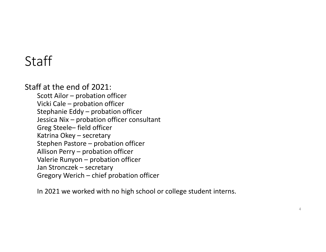#### Staff

#### Staff at the end of 2021:

Scott Ailor – probation officer Vicki Cale – probation officer Stephanie Eddy – probation officer Jessica Nix – probation officer consultant Greg Steele– field officer Katrina Okey – secretary Stephen Pastore – probation officer Allison Perry – probation officer Valerie Runyon – probation officer Jan Stronczek – secretary Gregory Werich – chief probation officer

In 2021 we worked with no high school or college student interns.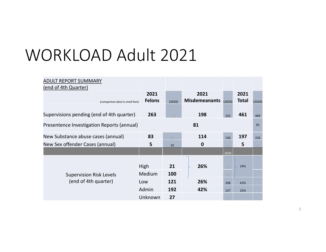# WORKLOAD Adult 2021

| <b>ADULT REPORT SUMMARY</b><br>(end of 4th Quarter)    |                       |           |                              |           |                      |        |
|--------------------------------------------------------|-----------------------|-----------|------------------------------|-----------|----------------------|--------|
| (comparison data in small font)                        | 2021<br><b>Felons</b> | (2020)    | 2021<br><b>Misdemeanants</b> | (2020)    | 2021<br><b>Total</b> | (2020) |
| Supervisions pending (end of 4th quarter)              | 263                   | 244       | 198                          | 225       | 461                  | 469    |
| Presentence Investigation Reports (annual)             | 81                    |           |                              |           |                      | 95     |
| New Substance abuse cases (annual)                     | 83                    | 90        | 114                          | 136       | 197                  | 226    |
| New Sex offender Cases (annual)                        | 5                     | 10        | $\mathbf 0$                  |           | 5                    |        |
|                                                        |                       |           |                              | 2020      |                      |        |
|                                                        | <b>High</b><br>Medium | 21<br>100 | 26%                          | 23        | 24%                  |        |
| <b>Supervision Risk Levels</b><br>(end of 4th quarter) | Low                   | 121       | 26%                          | 98<br>208 | 42%                  |        |
|                                                        | Admin                 | 192       | 42%                          | 157       | 32%                  |        |
|                                                        | Unknown               | 27        |                              |           |                      |        |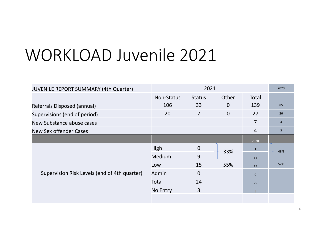# WORKLOAD Juvenile 2021

| <b>JUVENILE REPORT SUMMARY (4th Quarter)</b> |            | 2021          |                |                |                |  |
|----------------------------------------------|------------|---------------|----------------|----------------|----------------|--|
|                                              | Non-Status | <b>Status</b> | Other          | Total          |                |  |
| Referrals Disposed (annual)                  | 106        | 33            | $\overline{0}$ | 139            | 85             |  |
| Supervisions (end of period)                 | 20         | 7             | $\overline{0}$ | 27             | 26             |  |
| New Substance abuse cases                    |            |               |                | $\overline{7}$ | $\overline{4}$ |  |
| <b>New Sex offender Cases</b>                |            |               |                | $\overline{4}$ | 5              |  |
|                                              |            |               |                | 2020           |                |  |
|                                              | High       | $\mathbf 0$   | 33%            | $\mathbf{1}$   | 48%            |  |
|                                              | Medium     | 9             |                | $11\,$         |                |  |
|                                              | Low        | 15            | 55%            | 13             | 52%            |  |
| Supervision Risk Levels (end of 4th quarter) | Admin      | $\mathbf 0$   |                | $\mathbf{0}$   |                |  |
|                                              | Total      | 24            |                | 25             |                |  |
|                                              | No Entry   | 3             |                |                |                |  |
|                                              |            |               |                |                |                |  |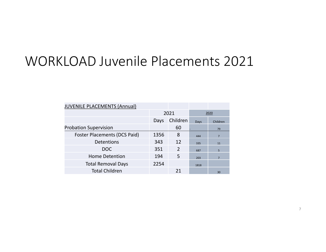#### WORKLOAD Juvenile Placements 2021

| <b>JUVENILE PLACEMENTS (Annual)</b> |                  |               |      |                |  |
|-------------------------------------|------------------|---------------|------|----------------|--|
|                                     |                  | 2021          |      | 2020           |  |
|                                     | Children<br>Days |               | Days | Children       |  |
| <b>Probation Supervision</b>        |                  | 60            |      | 79             |  |
| <b>Foster Placements (DCS Paid)</b> | 1356             | 8             | 444  | $\overline{7}$ |  |
| Detentions                          | 343              | 12            | 335  | 11             |  |
| <b>DOC</b>                          | 351              | $\mathcal{P}$ | 687  | 5              |  |
| <b>Home Detention</b>               | 194              | 5             | 203  | $\overline{7}$ |  |
| <b>Total Removal Days</b>           | 2254             |               | 1818 |                |  |
| <b>Total Children</b>               |                  | 21            |      | 30             |  |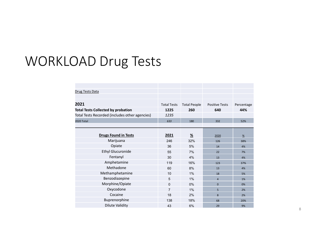#### WORKLOAD Drug Tests

| Drug Tests Data                                |                    |                     |                       |            |
|------------------------------------------------|--------------------|---------------------|-----------------------|------------|
|                                                |                    |                     |                       |            |
| 2021                                           | <b>Total Tests</b> | <b>Total People</b> | <b>Positive Tests</b> | Percentage |
| <b>Total Tests Collected by probation</b>      | 1225               | 260                 | 640                   | 44%        |
| Total Tests Recorded (includes other agencies) | 1235               |                     |                       |            |
| 2020 Total                                     | 633                | 180                 | 332                   | 52%        |
|                                                |                    |                     |                       |            |
| <b>Drugs Found in Tests</b>                    | 2021               | $\frac{9}{6}$       | 2020                  | $\%$       |
| Marijuana                                      | 246                | 32%                 | 126                   | 38%        |
| Opiate                                         | 36                 | 5%                  | 14                    | 4%         |
| <b>Ethyl Glucuronide</b>                       | 55                 | 7%                  | 22                    | 7%         |
| Fentanyl                                       | 30                 | 4%                  | 13                    | 4%         |
| Amphetamine                                    | 119                | 16%                 | 123                   | 37%        |
| Methadone                                      | 60                 | 8%                  | 13                    | 4%         |
| Methamphetamine                                | 10                 | $1\%$               | 18                    | 5%         |
| Benzodiazepine                                 | 5                  | 1%                  | $\overline{4}$        | 1%         |
| Morphine/Opiate                                | $\mathbf 0$        | 0%                  | $\Omega$              | 0%         |
| Oxycodone                                      | $\overline{7}$     | $1\%$               | 5                     | 2%         |
| Cocaine                                        | 18                 | 2%                  | 8                     | 2%         |
| Buprenorphine                                  | 138                | 18%                 | 68                    | 20%        |
| <b>Dilute Validity</b>                         | 43                 | 6%                  | 29                    | 9%         |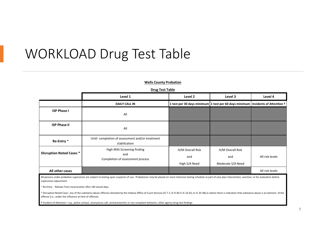#### WORKLOAD Drug Test Table

#### **Wells County Probation**

#### **Drug Test Table**

|                                 | Level 1                                                                | Level 2                                                                                          | Level 3                                      | Level 4         |
|---------------------------------|------------------------------------------------------------------------|--------------------------------------------------------------------------------------------------|----------------------------------------------|-----------------|
|                                 | <b>DAILY CALL IN</b>                                                   | 1 test per 30 days minimum $\vert$ 1 test per 60 days minimum   Incidents of Attention $\dagger$ |                                              |                 |
| <b>ISP Phase I</b>              | All                                                                    |                                                                                                  |                                              |                 |
| <b>ISP Phase II</b>             | All                                                                    |                                                                                                  |                                              |                 |
| Re-Entry ~                      | Until completion of assessment and/or treatment<br>stabilization       |                                                                                                  |                                              |                 |
| <b>Disruption Noted Cases *</b> | High IRAS Screening finding<br>and<br>Completion of assessment process | H/M Overall Risk<br>and<br>High S/A Need                                                         | H/M Overall Risk<br>and<br>Moderate S/A Need | All risk levels |
| All other cases                 |                                                                        |                                                                                                  |                                              | All risk levels |

All persons under probation supervision are subject to testing upon suspicion of use. Probationer may be placed on more intensive testing schedule as part of case plan intervention, sanction, or for evaluation before supervision adjustment.

~ Re-Entry - Release from incarceration after 182 actual days.

\* Disruption Noted Case– any of the substance abuse offenses denoted by the Indiana Office of Court Services (IC 7.1; IC 9-30-5; IC 16-42; or IC 35-48) or where there is indication that substance abuse is an element of the offense (i.e., under the influence at time of offense).

**†** Incident of Attention—e.g., police contact, anonymous call, uncharacteristic or non compliant behavior, other agency drug test findings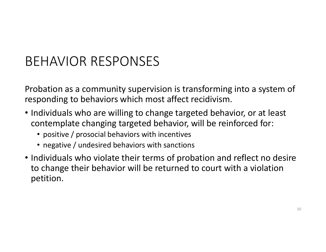### BEHAVIOR RESPONSES

Probation as a community supervision is transforming into a system of responding to behaviors which most affect recidivism.

- Individuals who are willing to change targeted behavior, or at least contemplate changing targeted behavior, will be reinforced for:
	- positive / prosocial behaviors with incentives
	- negative / undesired behaviors with sanctions
- Individuals who violate their terms of probation and reflect no desire to change their behavior will be returned to court with a violation petition.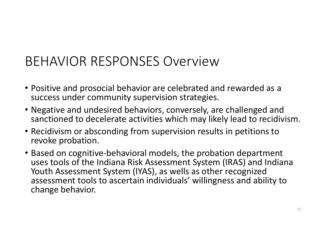#### BEHAVIOR RESPONSES Overview

- Positive and prosocial behavior are celebrated and rewarded as a success under community supervision strategies.
- Negative and undesired behaviors, conversely, are challenged and sanctioned to decelerate activities which may likely lead to recidivism.
- Recidivism or absconding from supervision results in petitions to revoke probation.
- Based on cognitive-behavioral models, the probation department uses tools of the Indiana Risk Assessment System (IRAS) and Indiana Youth Assessment System (IYAS), as wells as other recognized assessment tools to ascertain individuals' willingness and ability to change behavior.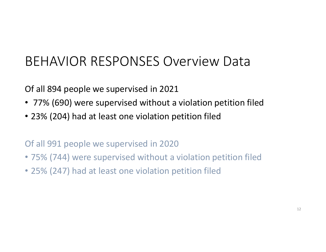### BEHAVIOR RESPONSES Overview Data

Of all 894 people we supervised in 2021

- 77% (690) were supervised without a violation petition filed
- 23% (204) had at least one violation petition filed

Of all 991 people we supervised in 2020

- 75% (744) were supervised without a violation petition filed
- 25% (247) had at least one violation petition filed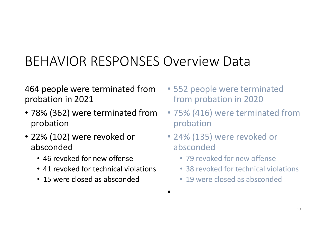## BEHAVIOR RESPONSES Overview Data

464 people were terminated from probation in 2021

- 78% (362) were terminated from probation
- 22% (102) were revoked or absconded
	- 46 revoked for new offense
	- 41 revoked for technical violations
	- 15 were closed as absconded
- 552 people were terminated from probation in 2020
- 75% (416) were terminated from probation
- 24% (135) were revoked or absconded
	- 79 revoked for new offense
	- 38 revoked for technical violations
	- 19 were closed as absconded
- •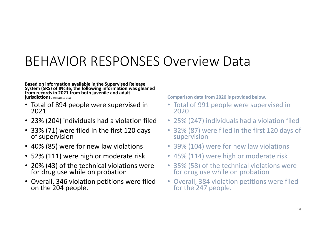#### BEHAVIOR RESPONSES Overview Data

**Based on information available in the Supervised Release System (SRS) of INcite, the following information was gleaned from records in 2021 from both juvenile and adult jurisdictions. (All first filings table).** 

- Total of 894 people were supervised in 2021
- 23% (204) individuals had a violation filed
- 33% (71) were filed in the first 120 days of supervision
- 40% (85) were for new law violations
- 52% (111) were high or moderate risk
- 20% (43) of the technical violations were for drug use while on probation
- Overall, 346 violation petitions were filed on the 204 people.

**Comparison data from 2020 is provided below.** 

- Total of 991 people were supervised in 2020
- 25% (247) individuals had a violation filed
- 32% (87) were filed in the first 120 days of supervision
- 39% (104) were for new law violations
- 45% (114) were high or moderate risk
- 35% (58) of the technical violations were for drug use while on probation
- Overall, 384 violation petitions were filed for the 247 people.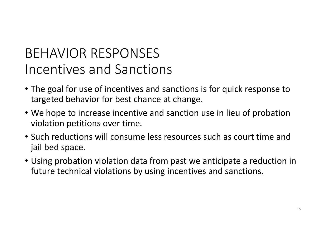### BEHAVIOR RESPONSES Incentives and Sanctions

- The goal for use of incentives and sanctions is for quick response to targeted behavior for best chance at change.
- We hope to increase incentive and sanction use in lieu of probation violation petitions over time.
- Such reductions will consume less resources such as court time and jail bed space.
- Using probation violation data from past we anticipate a reduction in future technical violations by using incentives and sanctions.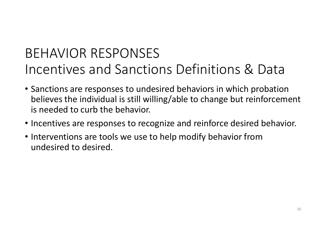## BEHAVIOR RESPONSES Incentives and Sanctions Definitions & Data

- Sanctions are responses to undesired behaviors in which probation believes the individual is still willing/able to change but reinforcement is needed to curb the behavior.
- Incentives are responses to recognize and reinforce desired behavior.
- Interventions are tools we use to help modify behavior from undesired to desired.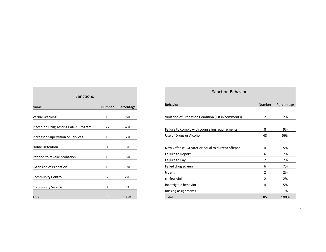| Sanctions                                |        |            |  |  |  |  |
|------------------------------------------|--------|------------|--|--|--|--|
| Name                                     | Number | Percentage |  |  |  |  |
| <b>Verbal Warning</b>                    | 15     | 18%        |  |  |  |  |
| Placed on Drug Testing Call-in Program   | 27     | 32%        |  |  |  |  |
| <b>Increased Supervision or Services</b> | 10     | 12%        |  |  |  |  |
| <b>Home Detention</b>                    | 1      | 1%         |  |  |  |  |
|                                          |        |            |  |  |  |  |
| Petition to revoke probation             | 13     | 15%        |  |  |  |  |
| <b>Extension of Probation</b>            | 16     | 19%        |  |  |  |  |
| <b>Community Control</b>                 | 2      | 2%         |  |  |  |  |
| <b>Community Service</b>                 | 1      | 1%         |  |  |  |  |
| Total                                    | 85     | 100%       |  |  |  |  |

**College** 

| <b>Sanction Behaviors</b>                           |                |            |  |  |  |
|-----------------------------------------------------|----------------|------------|--|--|--|
| Behavior                                            | Number         | Percentage |  |  |  |
| Violation of Probation Condition (list in comments) | 2              | 2%         |  |  |  |
| Failure to comply with counseling requirements      | 8              | 9%         |  |  |  |
| Use of Drugs or Alcohol                             | 48             | 56%        |  |  |  |
| New Offense- Greater or equal to current offense    | 4              | 5%         |  |  |  |
| <b>Failure to Report</b>                            | 6              | 7%         |  |  |  |
| Failure to Pay                                      | $\overline{2}$ | 2%         |  |  |  |
| Failed drug screen                                  | 6              | 7%         |  |  |  |
| truant                                              | 2              | 2%         |  |  |  |
| curfew violation                                    | 2              | 2%         |  |  |  |
| incorrigible behavior                               | 4              | 5%         |  |  |  |
| missing assignments                                 | 1              | 1%         |  |  |  |
| Total                                               | 85             | 100%       |  |  |  |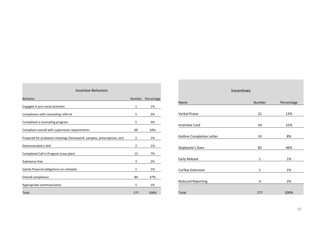| Incentive Behaviors                                                     |               |            |  |  |  |
|-------------------------------------------------------------------------|---------------|------------|--|--|--|
| <b>Behavior</b>                                                         | <b>Number</b> | Percentage |  |  |  |
| Engaged in pro-social activities                                        | 1             | 1%         |  |  |  |
| Compliance with counseling referral                                     | 5             | 3%         |  |  |  |
| Completed a counseling program                                          | 5             | 3%         |  |  |  |
| Compliant overall with supervision requirements                         | 60            | 34%        |  |  |  |
|                                                                         |               |            |  |  |  |
| Prepared for probation meetings (homework, samples, prescriptions, etc) | 2             | 1%         |  |  |  |
| Demonstrated a skill                                                    | 2             | 1%         |  |  |  |
| Completed Call in Program (case plan)                                   | 13            | 7%         |  |  |  |
| Substance free                                                          | 3             | 2%         |  |  |  |
| Satisfy financial obligations on schedule                               | 1             | 1%         |  |  |  |
| Overall compliance                                                      | 84            | 47%        |  |  |  |
|                                                                         | 1             | 1%         |  |  |  |
| Appropriate communication                                               |               |            |  |  |  |
| Total                                                                   | 177           | 100%       |  |  |  |

| Incentives                |             |            |  |  |  |  |
|---------------------------|-------------|------------|--|--|--|--|
| Name                      | Number      | Percentage |  |  |  |  |
| <b>Verbal Praise</b>      | 21          | 12%        |  |  |  |  |
|                           |             |            |  |  |  |  |
| <b>Incentive Card</b>     | 54          | 31%        |  |  |  |  |
| Hotline Completion Letter | 14          | 8%         |  |  |  |  |
| Stephanie's Stars         | 82          | 46%        |  |  |  |  |
| Early Release             | $\mathbf 1$ | 1%         |  |  |  |  |
| Curfew Extension          | 1           | 1%         |  |  |  |  |
| <b>Reduced Reporting</b>  | 4           | 2%         |  |  |  |  |
| Total                     | 177         | 100%       |  |  |  |  |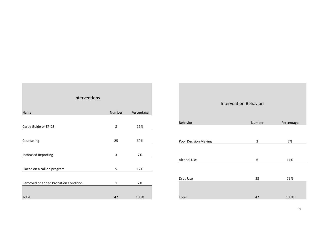| Interventions                        |        |            |  |  |  |  |
|--------------------------------------|--------|------------|--|--|--|--|
| Name                                 | Number | Percentage |  |  |  |  |
| Carey Guide or EPICS                 | 8      | 19%        |  |  |  |  |
| Counseling                           | 25     | 60%        |  |  |  |  |
|                                      | 3      | 7%         |  |  |  |  |
| <b>Increased Reporting</b>           |        |            |  |  |  |  |
| Placed on a call on program          | 5      | 12%        |  |  |  |  |
| Removed or added Probation Condition | 1      | 2%         |  |  |  |  |
| Total                                | 42     | 100%       |  |  |  |  |

|                      | <b>Intervention Behaviors</b> |            |
|----------------------|-------------------------------|------------|
| Behavior             | Number                        | Percentage |
| Poor Decision Making | 3                             | 7%         |
| Alcohol Use          | 6                             | 14%        |
| Drug Use             | 33                            | 79%        |
| Total                | 42                            | 100%       |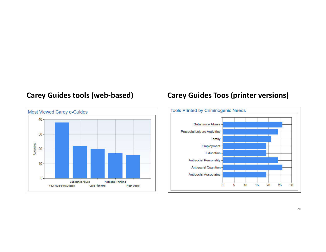

#### **Carey Guides tools (web-based) Carey Guides Toos (printer versions)**

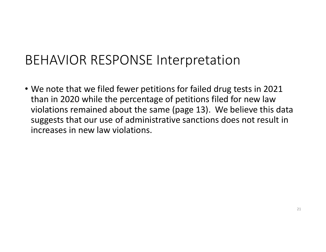#### BEHAVIOR RESPONSE Interpretation

• We note that we filed fewer petitions for failed drug tests in 2021 than in 2020 while the percentage of petitions filed for new law violations remained about the same (page 13). We believe this data suggests that our use of administrative sanctions does not result in increases in new law violations.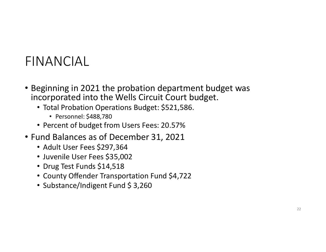#### FINANCIAL

- Beginning in 2021 the probation department budget was incorporated into the Wells Circuit Court budget.
	- Total Probation Operations Budget: \$521,586.
		- Personnel: \$488,780
	- Percent of budget from Users Fees: 20.57%
- Fund Balances as of December 31, 2021
	- Adult User Fees \$297,364
	- Juvenile User Fees \$35,002
	- Drug Test Funds \$14,518
	- County Offender Transportation Fund \$4,722
	- Substance/Indigent Fund \$ 3,260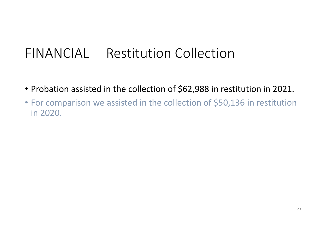#### FINANCIAL Restitution Collection

- Probation assisted in the collection of \$62,988 in restitution in 2021.
- For comparison we assisted in the collection of \$50,136 in restitution in 2020.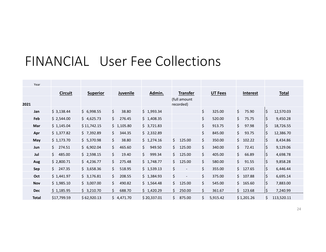#### FINANCIAL User Fee Collections

| Year         |                |                 |              |                         |                                |                |                 |                   |
|--------------|----------------|-----------------|--------------|-------------------------|--------------------------------|----------------|-----------------|-------------------|
|              | <b>Circuit</b> | <b>Superior</b> | Juvenile     | Admin.                  | <b>Transfer</b>                | <b>UT Fees</b> | <b>Interest</b> | <b>Total</b>      |
| 2021         |                |                 |              |                         | (full amount<br>recorded)      |                |                 |                   |
| Jan          | \$3,138.44     | \$6,998.55      | \$<br>38.80  | \$1,993.34              |                                | \$<br>325.00   | \$<br>75.90     | ¦\$<br>12,570.03  |
| Feb          | \$2,544.00     | \$4,625.73      | \$<br>276.45 | \$1,408.35              |                                | \$<br>520.00   | \$<br>75.75     | ļ\$<br>9,450.28   |
| Mar          | \$1,145.04     | \$11,742.15     | \$1,105.80   | \$3,721.83              |                                | \$<br>913.75   | \$<br>97.98     | ļ\$.<br>18,726.55 |
| Apr          | \$1,377.82     | \$7,392.89      | \$<br>344.35 | \$2,332.89              |                                | \$<br>845.00   | \$<br>93.75     | ¦\$<br>12,386.70  |
| May          | \$1,173.70     | \$5,370.98      | \$<br>38.80  | \$1,274.16              | \$<br>125.00                   | \$<br>350.00   | \$<br>102.22    | ļ\$<br>8,434.86   |
| Jun          | \$274.51       | \$6,902.04      | \$<br>465.60 | $\zeta$<br>949.50       | \$<br>125.00                   | \$<br>340.00   | \$<br>72.41     | ļ\$<br>9,129.06   |
| Jul          | \$485.00       | \$2,598.15      | \$<br>19.40  | $\frac{1}{2}$<br>999.34 | \$<br>125.00                   | \$<br>405.00   | \$<br>66.89     | ļ\$.<br>4,698.78  |
| Aug          | \$2,800.71     | \$4,236.77      | \$<br>275.48 | \$1,748.77              | \$<br>125.00                   | \$<br>580.00   | \$<br>91.55     | ¦\$<br>9,858.28   |
| Sep          | \$247.35       | \$3,658.36      | \$<br>518.95 | \$1,539.13              | \$<br>$\overline{\phantom{a}}$ | \$<br>355.00   | \$.<br>127.65   | ļ\$.<br>6,446.44  |
| Oct          | \$1,441.97     | \$3,176.81      | \$<br>208.55 | \$1,384.93              | \$<br>$\overline{\phantom{a}}$ | \$<br>375.00   | \$<br>107.88    | ļ\$<br>6,695.14   |
| <b>Nov</b>   | \$1,985.10     | \$3,007.00      | \$<br>490.82 | \$1,564.48              | \$<br>125.00                   | \$<br>545.00   | \$<br>165.60    | ¦\$<br>7,883.00   |
| <b>Dec</b>   | \$1,185.95     | \$3,210.70      | \$<br>688.70 | \$1,420.29              | \$<br>250.00                   | \$<br>361.67   | \$123.68        | ļ\$<br>7,240.99   |
| <b>Total</b> | \$17,799.59    | \$62,920.13     | \$4,471.70   | \$20,337.01             | \$.<br>875.00                  | \$<br>5,915.42 | \$1,201.26      | \$<br>113,520.11  |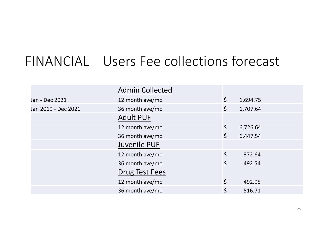#### FINANCIAL Users Fee collections forecast

|                     | <b>Admin Collected</b> |         |          |
|---------------------|------------------------|---------|----------|
| Jan - Dec 2021      | 12 month ave/mo        | $\zeta$ | 1,694.75 |
| Jan 2019 - Dec 2021 | 36 month ave/mo        | $\zeta$ | 1,707.64 |
|                     | <b>Adult PUF</b>       |         |          |
|                     | 12 month ave/mo        | $\zeta$ | 6,726.64 |
|                     | 36 month ave/mo        | $\zeta$ | 6,447.54 |
|                     | Juvenile PUF           |         |          |
|                     | 12 month ave/mo        | $\zeta$ | 372.64   |
|                     | 36 month ave/mo        | $\zeta$ | 492.54   |
|                     | Drug Test Fees         |         |          |
|                     | 12 month ave/mo        | $\zeta$ | 492.95   |
|                     | 36 month ave/mo        | \$      | 516.71   |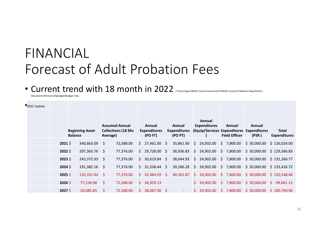#### FINANCIAL Forecast of Adult Probation Fees

#### • Current trend with 18 month in 2022 C:\Users\gew\Wells County Government\Wells County Probation Department -

Documents\Personnel\Budget\Budget Files

| 2022 Update |           |                                          |              |                                                                |    |                                          |    |                                          |    |                               |    |                                |                                                              |                              |
|-------------|-----------|------------------------------------------|--------------|----------------------------------------------------------------|----|------------------------------------------|----|------------------------------------------|----|-------------------------------|----|--------------------------------|--------------------------------------------------------------|------------------------------|
|             |           | <b>Beginning Asset</b><br><b>Balance</b> |              | <b>Assumed Annual</b><br><b>Collections (18 Mo</b><br>Average) |    | Annual<br><b>Expenditures</b><br>(PO FT) |    | Annual<br><b>Expenditures</b><br>(PO PT) |    | Annual<br><b>Expenditures</b> |    | Annual<br><b>Field Officer</b> | Annual<br>(Equip/Services Expenditures Expenditures<br>(PSR) | Total<br><b>Expenditures</b> |
|             | $2021$ \$ | 340,663.09                               | <sub>S</sub> | 72,588.00                                                      | S. | 27,461.00                                | -S | 35,861.00                                | S. | 24,902.00                     | Ŝ. | 7,800.00                       | \$30,000.00                                                  | \$126,024.00                 |
|             | $2022$ \$ | 297,363.76                               | - 5          | 77,376.00                                                      | S  | 29,728.00 \$                             |    | 36,936.83                                | \$ | 24,902.00                     | \$ | 7,800.00                       | \$30,000.00                                                  | \$129,366.83                 |
|             | $2023$ \$ | 245,372.93                               | - \$         | 77,376.00                                                      | S. | $30,619.84$ \$                           |    | 38,044.93                                | S. | 24,902.00                     | \$ | 7,800.00                       | \$30,000.00                                                  | \$131,366.77                 |
|             | $2024$ \$ | 191,382.16                               | - \$         | 77,376.00                                                      | S. | $31,538.44$ \$                           |    | 39,186.28                                | S. | 24,902.00                     |    | \$7,800.00                     | \$30,000.00                                                  | \$133,426.72                 |
|             | $2025$ \$ | 135,331.44                               | - \$         | 77,376.00                                                      | S. | 32,484.59 \$                             |    | 40,361.87                                | S. | 24,902.00                     |    | \$7,800.00                     | \$30,000.00                                                  | \$135,548.46                 |
|             | $2026$ \$ | 77,158.98                                | Ŝ.           | 72,588.00                                                      | S. | 36,959.13                                |    |                                          |    | \$24,902.00                   |    | \$7,800.00                     | \$30,000.00                                                  | S.<br>99,661.13              |
|             | $2027$ \$ | 50,085.85                                | S.           | 72,588.00                                                      | S. | 38,067.90 \$                             |    | $\sim$                                   |    | \$24,902.00                   |    | \$7,800.00                     | \$30,000.00                                                  | \$100,769.90                 |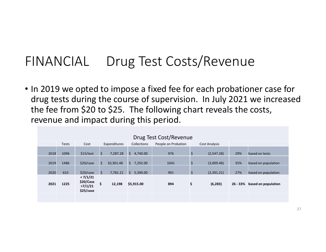#### FINANCIAL Drug Test Costs/Revenue

• In 2019 we opted to impose a fixed fee for each probationer case for drug tests during the course of supervision. In July 2021 we increased the fee from \$20 to \$25. The following chart reveals the costs, revenue and impact during this period.

| Drug Test Cost/Revenue |       |                                               |              |           |    |                    |                     |             |                      |            |                     |
|------------------------|-------|-----------------------------------------------|--------------|-----------|----|--------------------|---------------------|-------------|----------------------|------------|---------------------|
|                        | Tests | Cost                                          | Expenditures |           |    | <b>Collections</b> | People on Probation |             | <b>Cost Analysis</b> |            |                     |
| 2018                   | 1096  | \$15/test                                     | Ś.           | 7,287.28  | Ŝ. | 4,740.00           | 976                 | $\zeta$     | (2,547.28)           | 29%        | based on tests      |
| 2019                   | 1486  | \$20/case                                     | Ŝ.           | 10,301.48 | Ŝ  | 7,292.00           | 1041                | \$          | (3,009.48)           | 35%        | based on population |
| 2020                   | 633   | \$20/case                                     | \$           | 7,781.21  | Ŝ. | 5,390.00           | 991                 | $\varsigma$ | (2,391.21)           | 27%        | based on population |
| 2021                   | 1225  | < 7/1/21<br>\$20/Case<br>>7/1/21<br>\$25/case | \$           | 12,198    |    | \$5,915.00         | \$<br>894           |             | (6, 283)             | $26 - 33%$ | based on population |
|                        |       |                                               |              |           |    |                    |                     |             |                      |            |                     |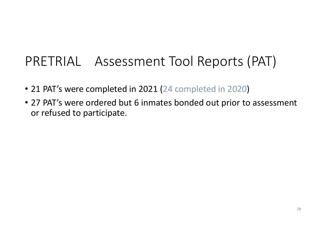#### PRETRIAL Assessment Tool Reports (PAT)

- 21 PAT's were completed in 2021 (24 completed in 2020)
- 27 PAT's were ordered but 6 inmates bonded out prior to assessment or refused to participate.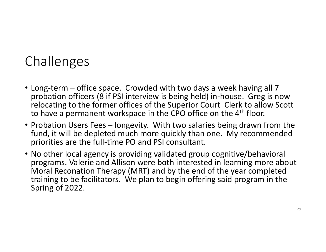### Challenges

- Long-term office space. Crowded with two days a week having all 7 probation officers (8 if PSI interview is being held) in-house. Greg is now relocating to the former offices of the Superior Court Clerk to allow Scott to have a permanent workspace in the CPO office on the 4<sup>th</sup> floor.
- Probation Users Fees longevity. With two salaries being drawn from the fund, it will be depleted much more quickly than one. My recommended priorities are the full-time PO and PSI consultant.
- No other local agency is providing validated group cognitive/behavioral programs. Valerie and Allison were both interested in learning more about Moral Reconation Therapy (MRT) and by the end of the year completed training to be facilitators. We plan to begin offering said program in the Spring of 2022.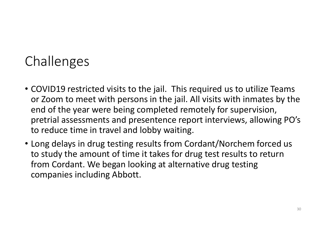## Challenges

- COVID19 restricted visits to the jail. This required us to utilize Teams or Zoom to meet with persons in the jail. All visits with inmates by the end of the year were being completed remotely for supervision, pretrial assessments and presentence report interviews, allowing PO's to reduce time in travel and lobby waiting.
- Long delays in drug testing results from Cordant/Norchem forced us to study the amount of time it takes for drug test results to return from Cordant. We began looking at alternative drug testing companies including Abbott.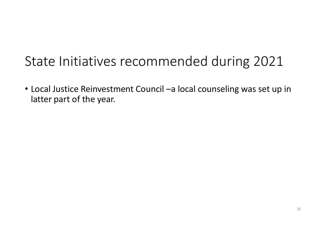### State Initiatives recommended during 2021

• Local Justice Reinvestment Council –a local counseling was set up in latter part of the year.